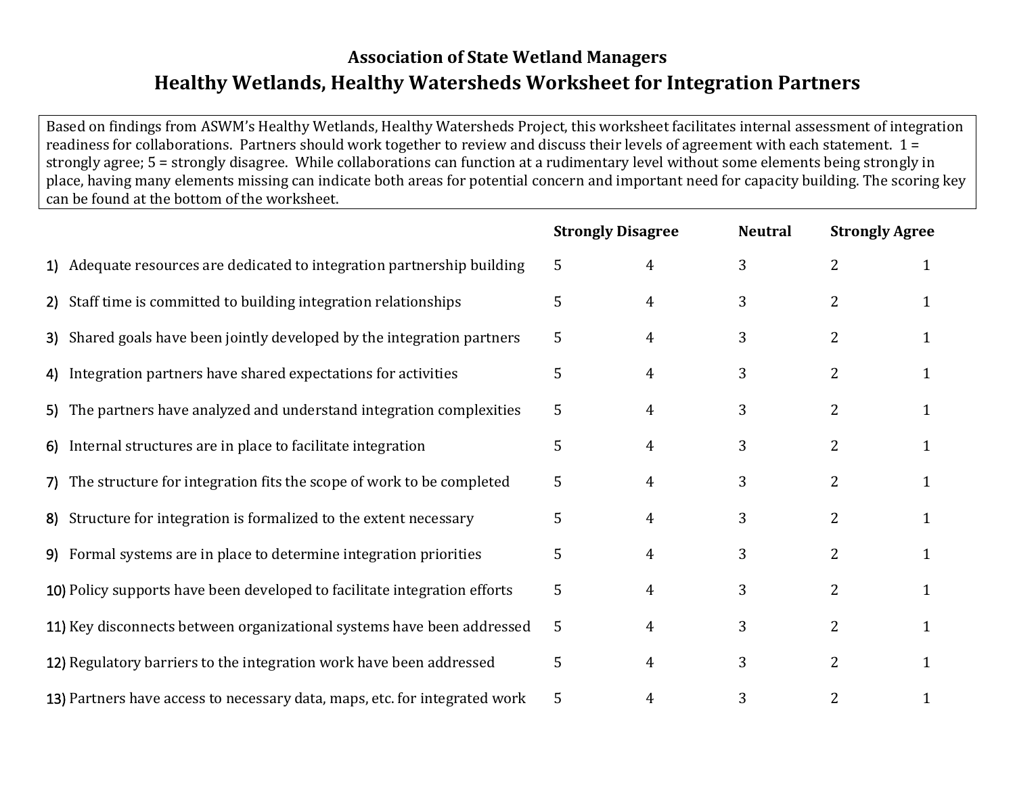# **Association of State Wetland Managers Healthy Wetlands, Healthy Watersheds Worksheet for Integration Partners**

Based on findings from ASWM's Healthy Wetlands, Healthy Watersheds Project, this worksheet facilitates internal assessment of integration readiness for collaborations. Partners should work together to review and discuss their levels of agreement with each statement. 1 = strongly agree; 5 = strongly disagree. While collaborations can function at a rudimentary level without some elements being strongly in place, having many elements missing can indicate both areas for potential concern and important need for capacity building. The scoring key can be found at the bottom of the worksheet.

|                                                                            |                                                                           | <b>Strongly Disagree</b> |   | <b>Neutral</b> | <b>Strongly Agree</b> |              |
|----------------------------------------------------------------------------|---------------------------------------------------------------------------|--------------------------|---|----------------|-----------------------|--------------|
|                                                                            | 1) Adequate resources are dedicated to integration partnership building   | 5                        | 4 | 3              | 2                     | 1            |
|                                                                            | 2) Staff time is committed to building integration relationships          | 5                        | 4 | 3              | $\overline{2}$        | 1            |
|                                                                            | 3) Shared goals have been jointly developed by the integration partners   | 5                        | 4 | 3              | 2                     | 1            |
|                                                                            | 4) Integration partners have shared expectations for activities           | 5                        | 4 | 3              | 2                     | 1            |
|                                                                            | 5) The partners have analyzed and understand integration complexities     | 5                        | 4 | 3              | $\overline{2}$        | 1            |
|                                                                            | 6) Internal structures are in place to facilitate integration             | 5                        | 4 | 3              | $\overline{2}$        | 1            |
|                                                                            | 7) The structure for integration fits the scope of work to be completed   | 5                        | 4 | 3              | $\overline{2}$        | 1            |
|                                                                            | 8) Structure for integration is formalized to the extent necessary        | 5                        | 4 | 3              | $\overline{2}$        | 1            |
|                                                                            | 9) Formal systems are in place to determine integration priorities        | 5                        | 4 | 3              | $\overline{2}$        | 1            |
|                                                                            | 10) Policy supports have been developed to facilitate integration efforts | 5                        | 4 | 3              | $\overline{2}$        | $\mathbf{1}$ |
|                                                                            | 11) Key disconnects between organizational systems have been addressed    | 5                        | 4 | 3              | $\overline{2}$        | 1            |
|                                                                            | 12) Regulatory barriers to the integration work have been addressed       | 5                        | 4 | 3              | 2                     | 1            |
| 13) Partners have access to necessary data, maps, etc. for integrated work |                                                                           |                          | 4 | 3              | 2                     |              |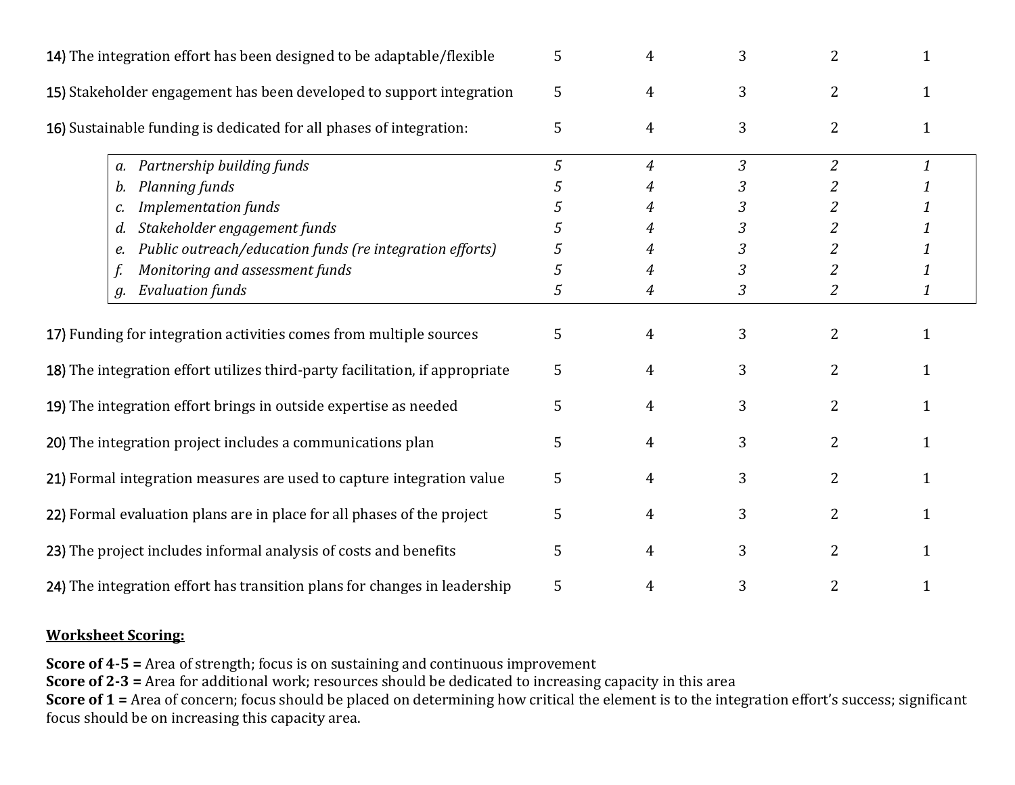| 14) The integration effort has been designed to be adaptable/flexible |                                                                              | 5 | 4              | 3              | $\overline{2}$ |              |
|-----------------------------------------------------------------------|------------------------------------------------------------------------------|---|----------------|----------------|----------------|--------------|
| 15) Stakeholder engagement has been developed to support integration  |                                                                              | 5 | 4              | 3              | $\overline{2}$ |              |
|                                                                       | 16) Sustainable funding is dedicated for all phases of integration:          | 5 | 4              | 3              | 2              | 1            |
|                                                                       | Partnership building funds<br>a.                                             | 5 | $\overline{4}$ | $\overline{3}$ | $\overline{2}$ | $\mathbf{1}$ |
|                                                                       | Planning funds<br>b.                                                         |   | 4              | 3              |                |              |
|                                                                       | <b>Implementation funds</b><br>c.                                            |   | 4              | 3              | 2              | 1            |
|                                                                       | Stakeholder engagement funds<br>d.                                           |   |                | 3              | 2              |              |
|                                                                       | Public outreach/education funds (re integration efforts)<br>e.               | 5 | 4              | 3              | 2              | 1            |
|                                                                       | Monitoring and assessment funds                                              | 5 | 4              | 3              | 2              |              |
|                                                                       | <b>Evaluation funds</b><br>g.                                                | 5 | 4              | 3              | 2              | 1            |
| 17) Funding for integration activities comes from multiple sources    |                                                                              | 5 | 4              | 3              | 2              |              |
|                                                                       | 18) The integration effort utilizes third-party facilitation, if appropriate | 5 | 4              | 3              | $\overline{2}$ |              |
| 19) The integration effort brings in outside expertise as needed      |                                                                              | 5 | 4              | 3              | $\overline{2}$ |              |
|                                                                       | 20) The integration project includes a communications plan                   | 5 | 4              | 3              | 2              | 1            |
|                                                                       | 21) Formal integration measures are used to capture integration value        | 5 | 4              | 3              | $\overline{2}$ |              |
|                                                                       | 22) Formal evaluation plans are in place for all phases of the project       | 5 | 4              | 3              | 2              |              |
| 23) The project includes informal analysis of costs and benefits      |                                                                              | 5 | 4              | 3              | $\overline{2}$ |              |
|                                                                       | 24) The integration effort has transition plans for changes in leadership    | 5 | 4              | 3              | $\overline{2}$ |              |

#### **Worksheet Scoring:**

**Score of 4-5 =** Area of strength; focus is on sustaining and continuous improvement **Score of 2-3 =** Area for additional work; resources should be dedicated to increasing capacity in this area **Score of 1** = Area of concern; focus should be placed on determining how critical the element is to the integration effort's success; significant focus should be on increasing this capacity area.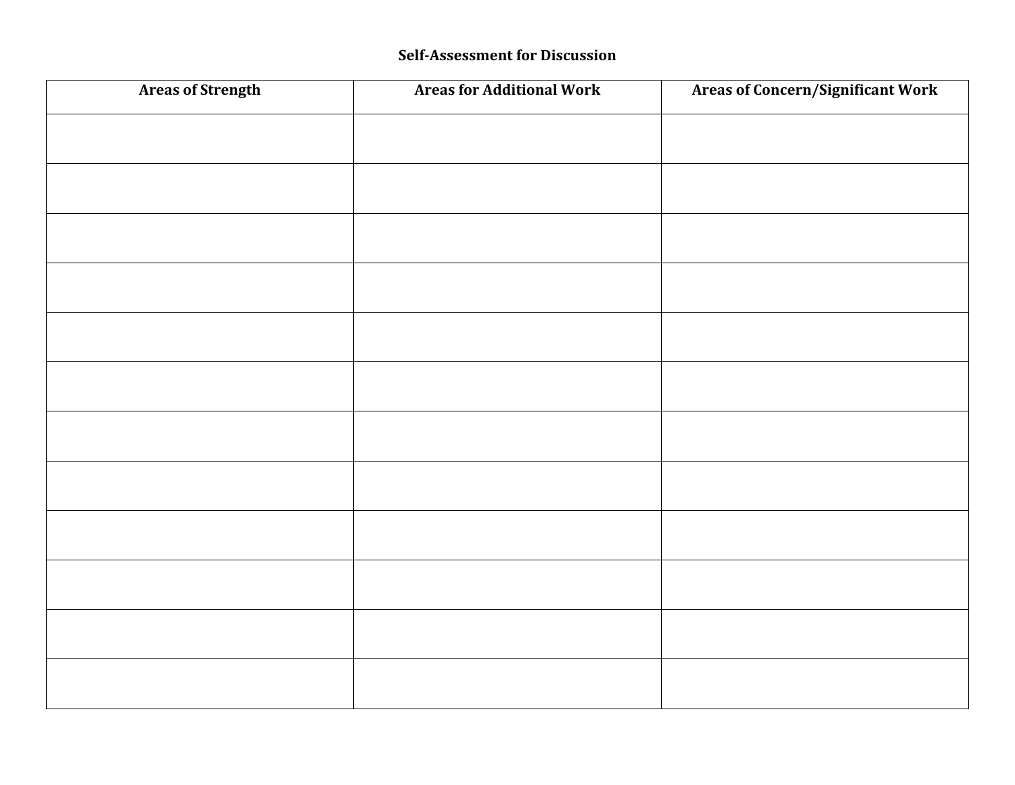### **Self-Assessment for Discussion**

| <b>Areas of Strength</b> | <b>Areas for Additional Work</b> | <b>Areas of Concern/Significant Work</b> |
|--------------------------|----------------------------------|------------------------------------------|
|                          |                                  |                                          |
|                          |                                  |                                          |
|                          |                                  |                                          |
|                          |                                  |                                          |
|                          |                                  |                                          |
|                          |                                  |                                          |
|                          |                                  |                                          |
|                          |                                  |                                          |
|                          |                                  |                                          |
|                          |                                  |                                          |
|                          |                                  |                                          |
|                          |                                  |                                          |
|                          |                                  |                                          |
|                          |                                  |                                          |
|                          |                                  |                                          |
|                          |                                  |                                          |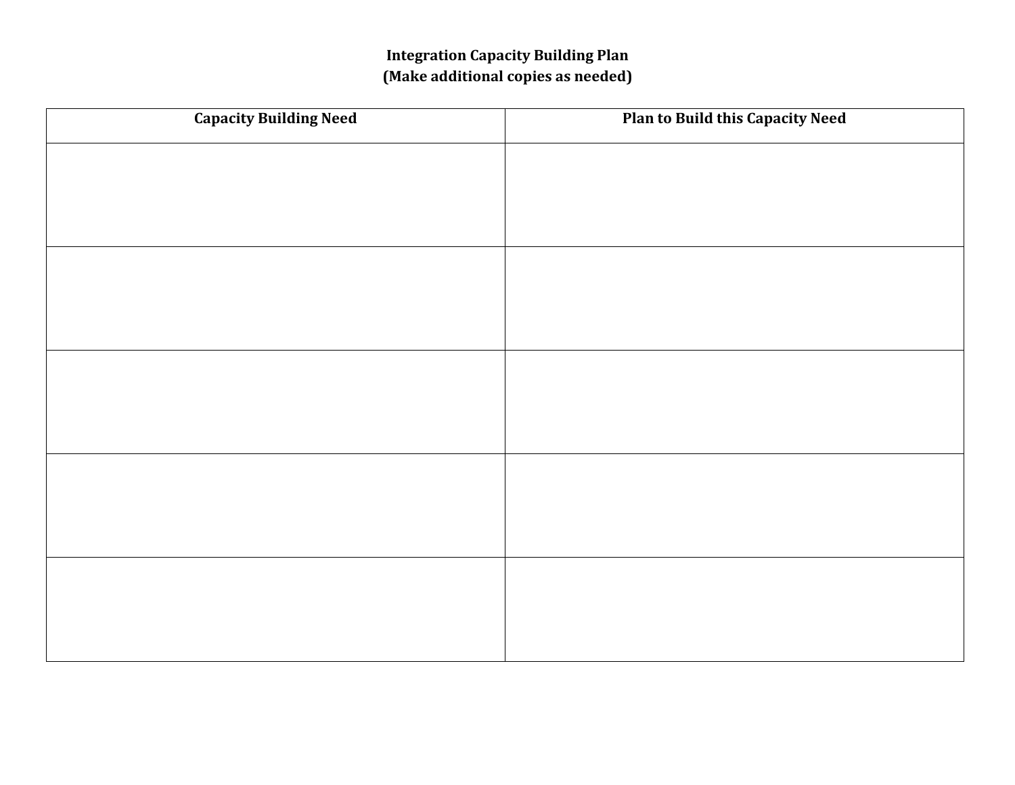## **Integration Capacity Building Plan (Make additional copies as needed)**

| <b>Capacity Building Need</b> | <b>Plan to Build this Capacity Need</b> |
|-------------------------------|-----------------------------------------|
|                               |                                         |
|                               |                                         |
|                               |                                         |
|                               |                                         |
|                               |                                         |
|                               |                                         |
|                               |                                         |
|                               |                                         |
|                               |                                         |
|                               |                                         |
|                               |                                         |
|                               |                                         |
|                               |                                         |
|                               |                                         |
|                               |                                         |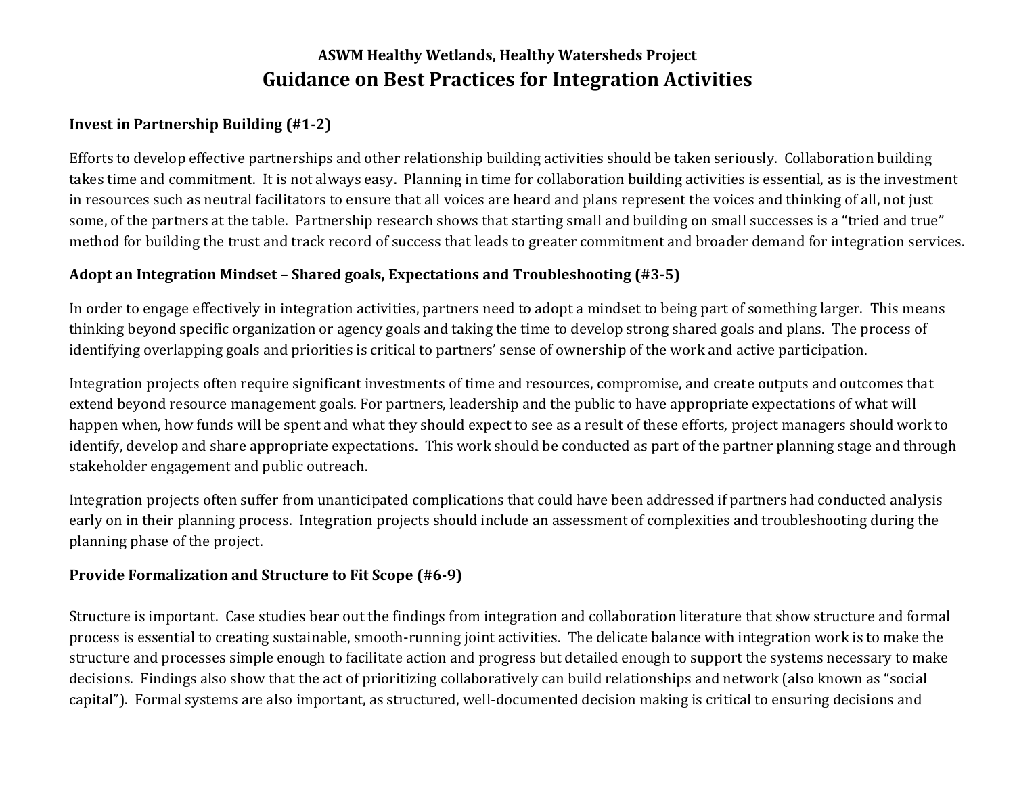# **ASWM Healthy Wetlands, Healthy Watersheds Project Guidance on Best Practices for Integration Activities**

### **Invest in Partnership Building (#1-2)**

Efforts to develop effective partnerships and other relationship building activities should be taken seriously. Collaboration building takes time and commitment. It is not always easy. Planning in time for collaboration building activities is essential, as is the investment in resources such as neutral facilitators to ensure that all voices are heard and plans represent the voices and thinking of all, not just some, of the partners at the table. Partnership research shows that starting small and building on small successes is a "tried and true" method for building the trust and track record of success that leads to greater commitment and broader demand for integration services.

#### **Adopt an Integration Mindset – Shared goals, Expectations and Troubleshooting (#3-5)**

In order to engage effectively in integration activities, partners need to adopt a mindset to being part of something larger. This means thinking beyond specific organization or agency goals and taking the time to develop strong shared goals and plans. The process of identifying overlapping goals and priorities is critical to partners' sense of ownership of the work and active participation.

Integration projects often require significant investments of time and resources, compromise, and create outputs and outcomes that extend beyond resource management goals. For partners, leadership and the public to have appropriate expectations of what will happen when, how funds will be spent and what they should expect to see as a result of these efforts, project managers should work to identify, develop and share appropriate expectations. This work should be conducted as part of the partner planning stage and through stakeholder engagement and public outreach.

Integration projects often suffer from unanticipated complications that could have been addressed if partners had conducted analysis early on in their planning process. Integration projects should include an assessment of complexities and troubleshooting during the planning phase of the project.

### **Provide Formalization and Structure to Fit Scope (#6-9)**

Structure is important. Case studies bear out the findings from integration and collaboration literature that show structure and formal process is essential to creating sustainable, smooth-running joint activities. The delicate balance with integration work is to make the structure and processes simple enough to facilitate action and progress but detailed enough to support the systems necessary to make decisions. Findings also show that the act of prioritizing collaboratively can build relationships and network (also known as "social capital"). Formal systems are also important, as structured, well-documented decision making is critical to ensuring decisions and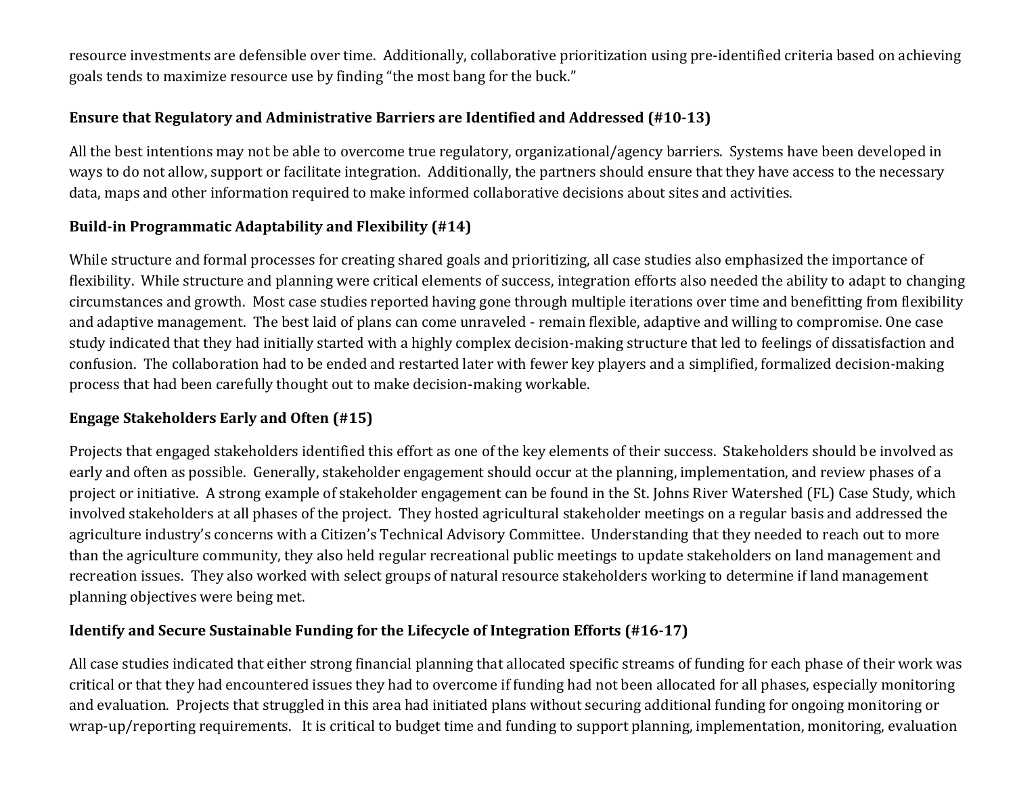resource investments are defensible over time. Additionally, collaborative prioritization using pre-identified criteria based on achieving goals tends to maximize resource use by finding "the most bang for the buck."

### **Ensure that Regulatory and Administrative Barriers are Identified and Addressed (#10-13)**

All the best intentions may not be able to overcome true regulatory, organizational/agency barriers. Systems have been developed in ways to do not allow, support or facilitate integration. Additionally, the partners should ensure that they have access to the necessary data, maps and other information required to make informed collaborative decisions about sites and activities.

### **Build-in Programmatic Adaptability and Flexibility (#14)**

While structure and formal processes for creating shared goals and prioritizing, all case studies also emphasized the importance of flexibility. While structure and planning were critical elements of success, integration efforts also needed the ability to adapt to changing circumstances and growth. Most case studies reported having gone through multiple iterations over time and benefitting from flexibility and adaptive management. The best laid of plans can come unraveled - remain flexible, adaptive and willing to compromise. One case study indicated that they had initially started with a highly complex decision-making structure that led to feelings of dissatisfaction and confusion. The collaboration had to be ended and restarted later with fewer key players and a simplified, formalized decision-making process that had been carefully thought out to make decision-making workable.

### **Engage Stakeholders Early and Often (#15)**

Projects that engaged stakeholders identified this effort as one of the key elements of their success. Stakeholders should be involved as early and often as possible. Generally, stakeholder engagement should occur at the planning, implementation, and review phases of a project or initiative. A strong example of stakeholder engagement can be found in the St. Johns River Watershed (FL) Case Study, which involved stakeholders at all phases of the project. They hosted agricultural stakeholder meetings on a regular basis and addressed the agriculture industry's concerns with a Citizen's Technical Advisory Committee. Understanding that they needed to reach out to more than the agriculture community, they also held regular recreational public meetings to update stakeholders on land management and recreation issues. They also worked with select groups of natural resource stakeholders working to determine if land management planning objectives were being met.

### **Identify and Secure Sustainable Funding for the Lifecycle of Integration Efforts (#16-17)**

All case studies indicated that either strong financial planning that allocated specific streams of funding for each phase of their work was critical or that they had encountered issues they had to overcome if funding had not been allocated for all phases, especially monitoring and evaluation. Projects that struggled in this area had initiated plans without securing additional funding for ongoing monitoring or wrap-up/reporting requirements. It is critical to budget time and funding to support planning, implementation, monitoring, evaluation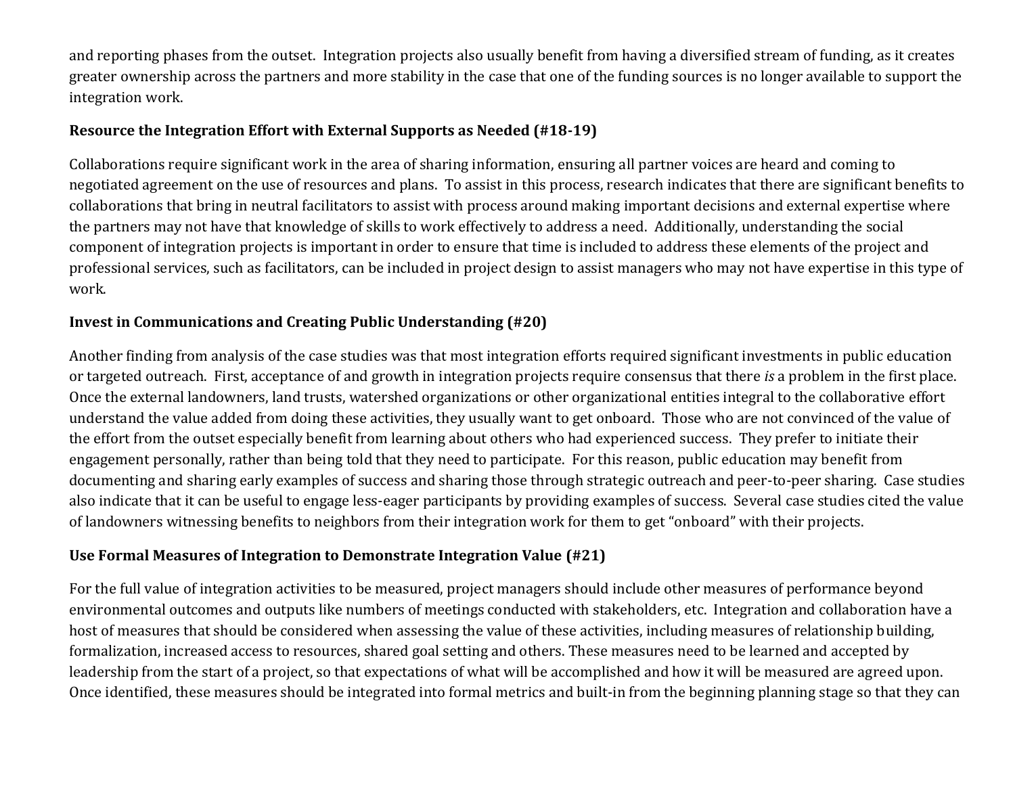and reporting phases from the outset. Integration projects also usually benefit from having a diversified stream of funding, as it creates greater ownership across the partners and more stability in the case that one of the funding sources is no longer available to support the integration work.

#### **Resource the Integration Effort with External Supports as Needed (#18-19)**

Collaborations require significant work in the area of sharing information, ensuring all partner voices are heard and coming to negotiated agreement on the use of resources and plans. To assist in this process, research indicates that there are significant benefits to collaborations that bring in neutral facilitators to assist with process around making important decisions and external expertise where the partners may not have that knowledge of skills to work effectively to address a need. Additionally, understanding the social component of integration projects is important in order to ensure that time is included to address these elements of the project and professional services, such as facilitators, can be included in project design to assist managers who may not have expertise in this type of work.

### **Invest in Communications and Creating Public Understanding (#20)**

Another finding from analysis of the case studies was that most integration efforts required significant investments in public education or targeted outreach. First, acceptance of and growth in integration projects require consensus that there *is* a problem in the first place. Once the external landowners, land trusts, watershed organizations or other organizational entities integral to the collaborative effort understand the value added from doing these activities, they usually want to get onboard. Those who are not convinced of the value of the effort from the outset especially benefit from learning about others who had experienced success. They prefer to initiate their engagement personally, rather than being told that they need to participate. For this reason, public education may benefit from documenting and sharing early examples of success and sharing those through strategic outreach and peer-to-peer sharing. Case studies also indicate that it can be useful to engage less-eager participants by providing examples of success. Several case studies cited the value of landowners witnessing benefits to neighbors from their integration work for them to get "onboard" with their projects.

### **Use Formal Measures of Integration to Demonstrate Integration Value (#21)**

For the full value of integration activities to be measured, project managers should include other measures of performance beyond environmental outcomes and outputs like numbers of meetings conducted with stakeholders, etc. Integration and collaboration have a host of measures that should be considered when assessing the value of these activities, including measures of relationship building, formalization, increased access to resources, shared goal setting and others. These measures need to be learned and accepted by leadership from the start of a project, so that expectations of what will be accomplished and how it will be measured are agreed upon. Once identified, these measures should be integrated into formal metrics and built-in from the beginning planning stage so that they can